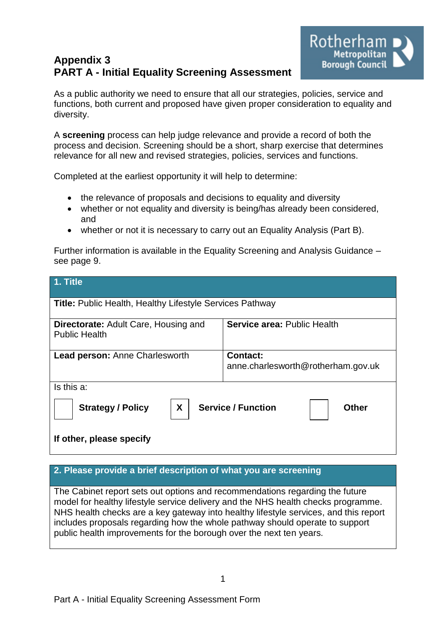# **Appendix 3 PART A - Initial Equality Screening Assessment**



As a public authority we need to ensure that all our strategies, policies, service and functions, both current and proposed have given proper consideration to equality and diversity.

A **screening** process can help judge relevance and provide a record of both the process and decision. Screening should be a short, sharp exercise that determines relevance for all new and revised strategies, policies, services and functions.

Completed at the earliest opportunity it will help to determine:

- the relevance of proposals and decisions to equality and diversity
- whether or not equality and diversity is being/has already been considered, and
- whether or not it is necessary to carry out an Equality Analysis (Part B).

Further information is available in the Equality Screening and Analysis Guidance – see page 9.

| 1. Title                                                            |                                                       |  |  |
|---------------------------------------------------------------------|-------------------------------------------------------|--|--|
| <b>Title: Public Health, Healthy Lifestyle Services Pathway</b>     |                                                       |  |  |
| <b>Directorate:</b> Adult Care, Housing and<br><b>Public Health</b> | <b>Service area: Public Health</b>                    |  |  |
| <b>Lead person: Anne Charlesworth</b>                               | <b>Contact:</b><br>anne.charlesworth@rotherham.gov.uk |  |  |
| Is this a:                                                          |                                                       |  |  |
| X<br><b>Service / Function</b><br><b>Strategy / Policy</b><br>Other |                                                       |  |  |
| If other, please specify                                            |                                                       |  |  |

### **2. Please provide a brief description of what you are screening**

The Cabinet report sets out options and recommendations regarding the future model for healthy lifestyle service delivery and the NHS health checks programme. NHS health checks are a key gateway into healthy lifestyle services, and this report includes proposals regarding how the whole pathway should operate to support public health improvements for the borough over the next ten years.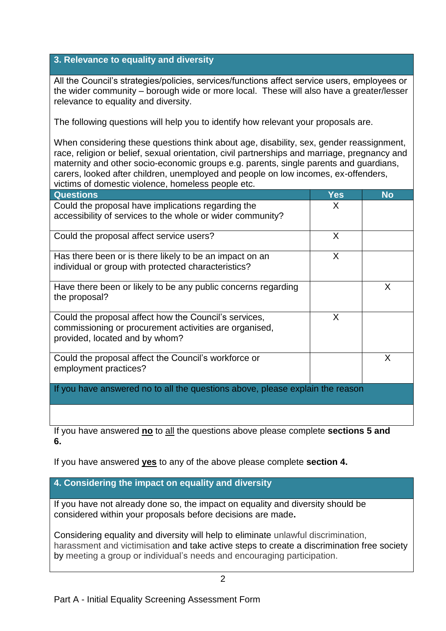### **3. Relevance to equality and diversity**

All the Council's strategies/policies, services/functions affect service users, employees or the wider community – borough wide or more local. These will also have a greater/lesser relevance to equality and diversity.

The following questions will help you to identify how relevant your proposals are.

When considering these questions think about age, disability, sex, gender reassignment, race, religion or belief, sexual orientation, civil partnerships and marriage, pregnancy and maternity and other socio-economic groups e.g. parents, single parents and guardians, carers, looked after children, unemployed and people on low incomes, ex-offenders, victims of domestic violence, homeless people etc.

| <b>Questions</b>                                                                                                                                  | Yes | <b>No</b> |
|---------------------------------------------------------------------------------------------------------------------------------------------------|-----|-----------|
| Could the proposal have implications regarding the<br>accessibility of services to the whole or wider community?                                  | X   |           |
| Could the proposal affect service users?                                                                                                          | X   |           |
| Has there been or is there likely to be an impact on an<br>individual or group with protected characteristics?                                    | X   |           |
| Have there been or likely to be any public concerns regarding<br>the proposal?                                                                    |     | X         |
| Could the proposal affect how the Council's services,<br>commissioning or procurement activities are organised,<br>provided, located and by whom? | X   |           |
| Could the proposal affect the Council's workforce or<br>employment practices?                                                                     |     | X         |
| If you have answered no to all the questions above, please explain the reason                                                                     |     |           |

If you have answered **no** to all the questions above please complete **sections 5 and 6.**

If you have answered **yes** to any of the above please complete **section 4.** 

## **4. Considering the impact on equality and diversity**

If you have not already done so, the impact on equality and diversity should be considered within your proposals before decisions are made**.**

Considering equality and diversity will help to eliminate unlawful discrimination, harassment and victimisation and take active steps to create a discrimination free society by meeting a group or individual's needs and encouraging participation.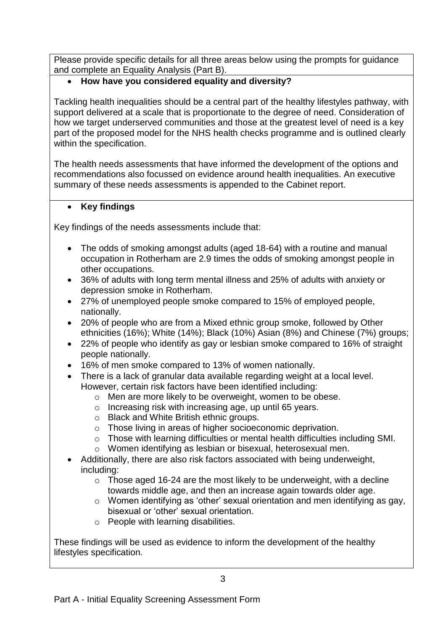Please provide specific details for all three areas below using the prompts for guidance and complete an Equality Analysis (Part B).

# **How have you considered equality and diversity?**

Tackling health inequalities should be a central part of the healthy lifestyles pathway, with support delivered at a scale that is proportionate to the degree of need. Consideration of how we target underserved communities and those at the greatest level of need is a key part of the proposed model for the NHS health checks programme and is outlined clearly within the specification.

The health needs assessments that have informed the development of the options and recommendations also focussed on evidence around health inequalities. An executive summary of these needs assessments is appended to the Cabinet report.

### **Key findings**

Key findings of the needs assessments include that:

- The odds of smoking amongst adults (aged 18-64) with a routine and manual occupation in Rotherham are 2.9 times the odds of smoking amongst people in other occupations.
- 36% of adults with long term mental illness and 25% of adults with anxiety or depression smoke in Rotherham.
- 27% of unemployed people smoke compared to 15% of employed people, nationally.
- 20% of people who are from a Mixed ethnic group smoke, followed by Other ethnicities (16%); White (14%); Black (10%) Asian (8%) and Chinese (7%) groups;
- 22% of people who identify as gay or lesbian smoke compared to 16% of straight people nationally.
- 16% of men smoke compared to 13% of women nationally.
- There is a lack of granular data available regarding weight at a local level. However, certain risk factors have been identified including:
	- o Men are more likely to be overweight, women to be obese.
	- o Increasing risk with increasing age, up until 65 years.
	- o Black and White British ethnic groups.
	- o Those living in areas of higher socioeconomic deprivation.
	- o Those with learning difficulties or mental health difficulties including SMI.
	- o Women identifying as lesbian or bisexual, heterosexual men.
- Additionally, there are also risk factors associated with being underweight, including:
	- $\circ$  Those aged 16-24 are the most likely to be underweight, with a decline towards middle age, and then an increase again towards older age.
	- o Women identifying as 'other' sexual orientation and men identifying as gay, bisexual or 'other' sexual orientation.
	- o People with learning disabilities.

These findings will be used as evidence to inform the development of the healthy lifestyles specification.